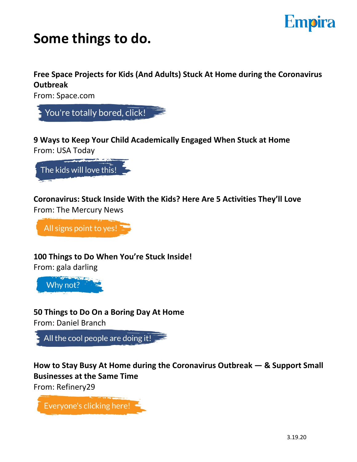# **Empira**

## **Some things to do.**

**Free Space Projects for Kids (And Adults) Stuck At Home during the Coronavirus Outbreak**

From: Space.com



**9 Ways to Keep Your Child Academically Engaged When Stuck at Home** From: USA Today



**Coronavirus: Stuck Inside With the Kids? Here Are 5 Activities They'll Love** From: The Mercury News

All signs point to yes!

**100 Things to Do When You're Stuck Inside!**

From: gala darling



**50 Things to Do On a Boring Day At Home**

From: Daniel Branch



**How to Stay Busy At Home during the Coronavirus Outbreak — & Support Small Businesses at the Same Time**

From: Refinery29

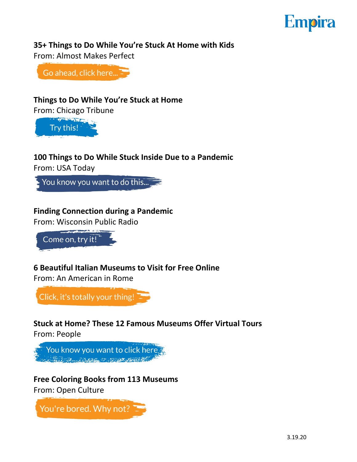# **Empira**

#### **35+ Things to Do While You're Stuck At Home with Kids**

From: Almost Makes Perfect

Go ahead, click here...

#### **Things to Do While You're Stuck at Home**

From: Chicago Tribune



#### **100 Things to Do While Stuck Inside Due to a Pandemic**

From: USA Today

You know you want to do this...

#### **Finding Connection during a Pandemic**

From: Wisconsin Public Radio

Come on, try it!

#### **6 Beautiful Italian Museums to Visit for Free Online**

From: An American in Rome

Click, it's totally your thing!

### **Stuck at Home? These 12 Famous Museums Offer Virtual Tours**

From: People

You know you want to click here. 

**Free Coloring Books from 113 Museums** From: Open Culture

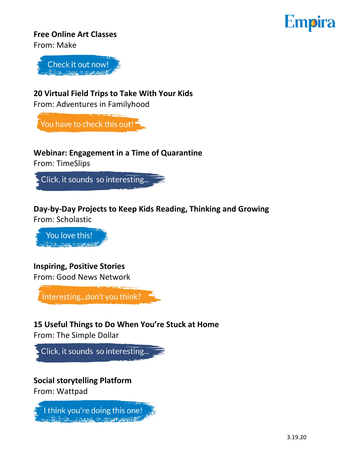# **Empira**

#### **Free Online Art Classes**

From: Make



#### **20 Virtual Field Trips to Take With Your Kids**

From: Adventures in Familyhood

You have to check this out!

### **Webinar: Engagement in a Time of Quarantine**

From: TimeSlips



#### **Day-by-Day Projects to Keep Kids Reading, Thinking and Growing** From: Scholastic

You love this! and and an and

#### **Inspiring, Positive Stories**

[From: Good News Network](http://www.goodnewsnetwork.org)



### **15 Useful Things to Do When You're Stuck at Home**

From: The Simple Dollar



## **Social storytelling Platform**

From: Wattpad